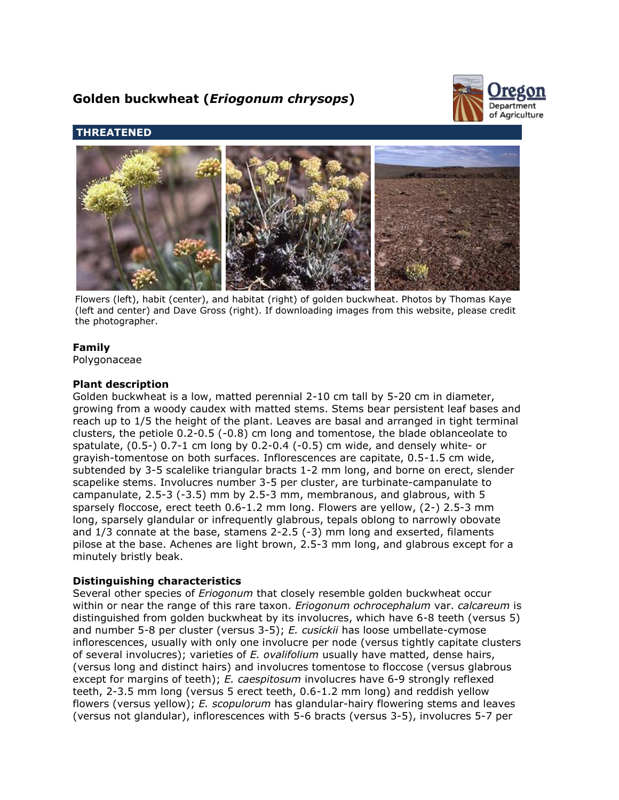# **Golden buckwheat (***Eriogonum chrysops***)**



# **THREATENED**



Flowers (left), habit (center), and habitat (right) of golden buckwheat. Photos by Thomas Kaye (left and center) and Dave Gross (right). If downloading images from this website, please credit the photographer.

## **Family**

Polygonaceae

## **Plant description**

Golden buckwheat is a low, matted perennial 2-10 cm tall by 5-20 cm in diameter, growing from a woody caudex with matted stems. Stems bear persistent leaf bases and reach up to 1/5 the height of the plant. Leaves are basal and arranged in tight terminal clusters, the petiole 0.2-0.5 (-0.8) cm long and tomentose, the blade oblanceolate to spatulate,  $(0.5-)$  0.7-1 cm long by 0.2-0.4  $(-0.5)$  cm wide, and densely white- or grayish-tomentose on both surfaces. Inflorescences are capitate, 0.5-1.5 cm wide, subtended by 3-5 scalelike triangular bracts 1-2 mm long, and borne on erect, slender scapelike stems. Involucres number 3-5 per cluster, are turbinate-campanulate to campanulate, 2.5-3 (-3.5) mm by 2.5-3 mm, membranous, and glabrous, with 5 sparsely floccose, erect teeth 0.6-1.2 mm long. Flowers are yellow, (2-) 2.5-3 mm long, sparsely glandular or infrequently glabrous, tepals oblong to narrowly obovate and 1/3 connate at the base, stamens 2-2.5 (-3) mm long and exserted, filaments pilose at the base. Achenes are light brown, 2.5-3 mm long, and glabrous except for a minutely bristly beak.

## **Distinguishing characteristics**

Several other species of *Eriogonum* that closely resemble golden buckwheat occur within or near the range of this rare taxon. *Eriogonum ochrocephalum* var. *calcareum* is distinguished from golden buckwheat by its involucres, which have 6-8 teeth (versus 5) and number 5-8 per cluster (versus 3-5); *E. cusickii* has loose umbellate-cymose inflorescences, usually with only one involucre per node (versus tightly capitate clusters of several involucres); varieties of *E. ovalifolium* usually have matted, dense hairs, (versus long and distinct hairs) and involucres tomentose to floccose (versus glabrous except for margins of teeth); *E. caespitosum* involucres have 6-9 strongly reflexed teeth, 2-3.5 mm long (versus 5 erect teeth, 0.6-1.2 mm long) and reddish yellow flowers (versus yellow); *E. scopulorum* has glandular-hairy flowering stems and leaves (versus not glandular), inflorescences with 5-6 bracts (versus 3-5), involucres 5-7 per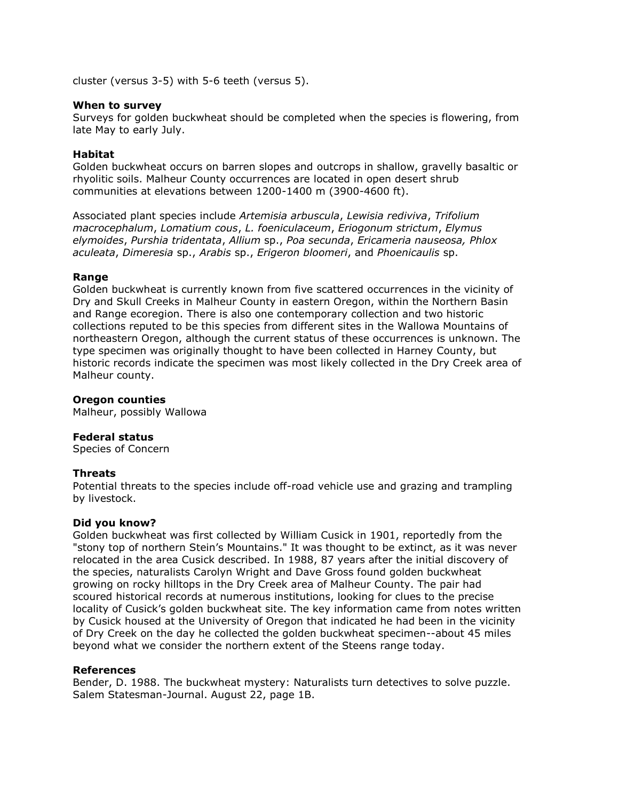cluster (versus 3-5) with 5-6 teeth (versus 5).

#### **When to survey**

Surveys for golden buckwheat should be completed when the species is flowering, from late May to early July.

#### **Habitat**

Golden buckwheat occurs on barren slopes and outcrops in shallow, gravelly basaltic or rhyolitic soils. Malheur County occurrences are located in open desert shrub communities at elevations between 1200-1400 m (3900-4600 ft).

Associated plant species include *Artemisia arbuscula*, *Lewisia rediviva*, *Trifolium macrocephalum*, *Lomatium cous*, *L. foeniculaceum*, *Eriogonum strictum*, *Elymus elymoides*, *Purshia tridentata*, *Allium* sp., *Poa secunda*, *Ericameria nauseosa, Phlox aculeata*, *Dimeresia* sp., *Arabis* sp., *Erigeron bloomeri*, and *Phoenicaulis* sp.

#### **Range**

Golden buckwheat is currently known from five scattered occurrences in the vicinity of Dry and Skull Creeks in Malheur County in eastern Oregon, within the Northern Basin and Range ecoregion. There is also one contemporary collection and two historic collections reputed to be this species from different sites in the Wallowa Mountains of northeastern Oregon, although the current status of these occurrences is unknown. The type specimen was originally thought to have been collected in Harney County, but historic records indicate the specimen was most likely collected in the Dry Creek area of Malheur county.

#### **Oregon counties**

Malheur, possibly Wallowa

#### **Federal status**

Species of Concern

#### **Threats**

Potential threats to the species include off-road vehicle use and grazing and trampling by livestock.

#### **Did you know?**

Golden buckwheat was first collected by William Cusick in 1901, reportedly from the "stony top of northern Stein's Mountains." It was thought to be extinct, as it was never relocated in the area Cusick described. In 1988, 87 years after the initial discovery of the species, naturalists Carolyn Wright and Dave Gross found golden buckwheat growing on rocky hilltops in the Dry Creek area of Malheur County. The pair had scoured historical records at numerous institutions, looking for clues to the precise locality of Cusick's golden buckwheat site. The key information came from notes written by Cusick housed at the University of Oregon that indicated he had been in the vicinity of Dry Creek on the day he collected the golden buckwheat specimen--about 45 miles beyond what we consider the northern extent of the Steens range today.

#### **References**

Bender, D. 1988. The buckwheat mystery: Naturalists turn detectives to solve puzzle. Salem Statesman-Journal. August 22, page 1B.